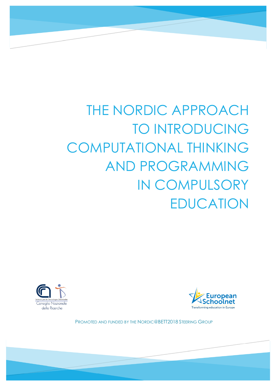# THE NORDIC APPROACH TO INTRODUCING COMPUTATIONAL THINKING AND PROGRAMMING IN COMPULSORY EDUCATION





PROMOTED AND FUNDED BY THE NORDIC@BETT2018 STEERING GROUP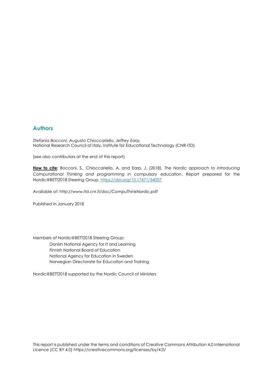#### **Authors**

*Stefania Bocconi, Augusto Chioccariello, Jeffrey Earp,*  National Research Council of Italy, Institute for Educational Technology (CNR-ITD)

(see also contributors at the end of this report)

**How to cite:** Bocconi, S., Chioccariello, A. and Earp, J. (2018). *The Nordic approach to introducing Computational Thinking and programming in compulsory education*. Report prepared for the Nordic@BETT2018 Steering Group.<https://doi.org/10.17471/54007>

Available at: http://www.itd.cnr.it/doc/CompuThinkNordic.pdf

Published in January 2018

Members of Nordic@BETT2018 Steering Group: Danish National Agency for It and Learning Finnish National Board of Education National Agency for Education in Sweden

Norwegian Directorate for Education and Training

Nordic@BETT2018 supported by the Nordic Council of Ministers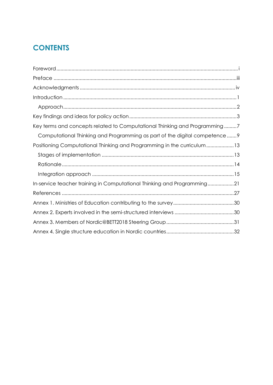# **CONTENTS**

| Key terms and concepts related to Computational Thinking and Programming7   |
|-----------------------------------------------------------------------------|
| Computational Thinking and Programming as part of the digital competence  9 |
| Positioning Computational Thinking and Programming in the curriculum13      |
|                                                                             |
|                                                                             |
|                                                                             |
| In-service teacher training in Computational Thinking and Programming21     |
|                                                                             |
|                                                                             |
|                                                                             |
|                                                                             |
|                                                                             |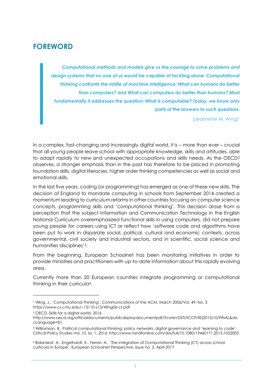# <span id="page-4-0"></span>**FOREWORD**

*Computational methods and models give us the courage to solve problems and design systems that no one of us would be capable of tackling alone. Computational thinking confronts the riddle of machine intelligence: What can humans do better than computers? and What can computers do better than humans? Most fundamentally it addresses the question: What is computable? Today, we know only parts of the answers to such questions.* 

*[Jeannette M. Wing]<sup>1</sup>*

In a complex, fast-changing and increasingly digital world, it is – more than ever – crucial that all young people leave school with appropriate knowledge, skills and attitudes, able to adapt rapidly to new and unexpected occupations and skills needs. As the OECD<sup>2</sup> observes, a stronger emphasis than in the past has therefore to be placed in promoting foundation skills, digital literacies, higher order thinking competencies as well as social and emotional skills.

In the last five years, coding (or programming) has emerged as one of these new skills. The decision of England to mandate computing in schools from September 2014 created a momentum leading to curriculum reforms in other countries focusing on computer science concepts, programming skills and 'computational thinking'. This decision arose from a perception that the subject Information and Communication Technology in the English National Curriculum overemphasized functional skills in using computers, did not prepare young people for careers using ICT or reflect how 'software code and algorithms have been put to work in disparate social, political, cultural and economic contexts, across governmental, civil society and industrial sectors, and in scientific, social science and humanities disciplines'3.

From the beginning, European Schoolnet has been monitoring initiatives in order to provide ministries and practitioners with up-to-date information about this rapidly evolving area.

Currently more than 20 European countries integrate programming or computational thinking in their curricula4.

-

<sup>1</sup> Wing, J., 'Computational Thinking', Communications of the ACM, March 2006/Vol. 49, No. 3 https://www.cs.cmu.edu/~15110-s13/Wing06-ct.pdf

<sup>2</sup> OECD, Skills for a digital world, 2016

http://www.oecd.org/officialdocuments/publicdisplaydocumentpdf/?cote=DSTI/ICCP/IIS(2015)10/FINAL&do cLanguage=En

<sup>3</sup> Williamson, B., Political computational thinking: policy networks, digital governance and 'learning to code', Critical Policy Studies Vol. 10, Iss. 1, 2016. http://www.tandfonline.com/doi/full/10.1080/19460171.2015.1052003

<sup>4</sup> Balanskat, A., Engelhardt, K., Ferrari, A., 'The integration of Computational Thinking (CT) across school curricula in Europe', European Schoolnet Perspective, issue no. 2, April 2017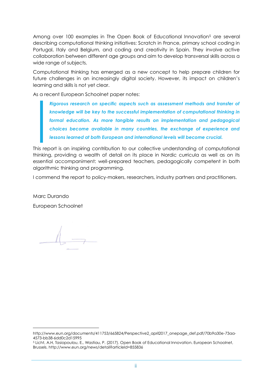Among over 100 examples in The Open Book of Educational Innovation<sup>5</sup> are several describing computational thinking initiatives: Scratch in France, primary school coding in Portugal, Italy and Belgium, and coding and creativity in Spain. They involve active collaboration between different age groups and aim to develop transversal skills across a wide range of subjects.

Computational thinking has emerged as a new concept to help prepare children for future challenges in an increasingly digital society. However, its impact on children's learning and skills is not yet clear.

As a recent European Schoolnet paper notes:

*Rigorous research on specific aspects such as assessment methods and transfer of knowledge will be key to the successful implementation of computational thinking in formal education. As more tangible results on implementation and pedagogical choices become available in many countries, the exchange of experience and lessons learned at both European and international levels will become crucial.*

This report is an inspiring contribution to our collective understanding of computational thinking, providing a wealth of detail on its place in Nordic curricula as well as on its essential accompaniment: well-prepared teachers, pedagogically competent in both algorithmic thinking and programming.

I commend the report to policy-makers, researchers, industry partners and practitioners.

Marc Durando

-

European Schoolnet

http://www.eun.org/documents/411753/665824/Perspective2\_april2017\_onepage\_def.pdf/70b9a30e-73aa-4573-bb38-6dd0c2d15995

<sup>5</sup> Licht, A.H, Tasiopoulou, E., Wastiau, P. (2017). Open Book of Educational Innovation. European Schoolnet, Brussels. http://www.eun.org/news/detail?articleId=855836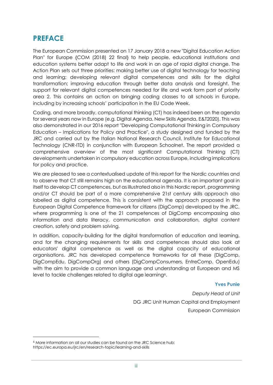## <span id="page-6-0"></span>**PREFACE**

The European Commission presented on 17 January 2018 a new "Digital Education Action Plan" for Europe {COM (2018) 22 final} to help people, educational institutions and education systems better adapt to life and work in an age of rapid digital change. The Action Plan sets out three priorities: making better use of digital technology for teaching and learning; developing relevant digital competences and skills for the digital transformation; improving education through better data analysis and foresight. The support for relevant digital competences needed for life and work form part of priority area 2. This contains an action on bringing coding classes to all schools in Europe, including by increasing schools' participation in the EU Code Week.

Coding, and more broadly, computational thinking (CT) has indeed been on the agenda for several years now in Europe (e.g. Digital Agenda, New Skills Agenda, E&T2020). This was also demonstrated in our 2016 report "Developing Computational Thinking in Compulsory Education – Implications for Policy and Practice", a study designed and funded by the JRC and carried out by the Italian National Research Council, Institute for Educational Technology (CNR-ITD) in conjunction with European Schoolnet. The report provided a comprehensive overview of the most significant Computational Thinking (CT) developments undertaken in compulsory education across Europe, including implications for policy and practice.

We are pleased to see a contextualised update of this report for the Nordic countries and to observe that CT still remains high on the educational agenda. It is an important goal in itself to develop CT competences, but as illustrated also in this Nordic report, programming and/or CT should be part of a more comprehensive 21st century skills approach also labelled as digital competence. This is consistent with the approach proposed in the European Digital Competence framework for citizens (DigComp) developed by the JRC, where programming is one of the 21 competences of DigComp encompassing also information and data literacy, communication and collaboration, digital content creation, safety and problem solving.

In addition, capacity-building for the digital transformation of education and learning, and for the changing requirements for skills and competences should also look at educators' digital competence as well as the digital capacity of educational organisations. JRC has developed competence frameworks for all these (DigComp, DigCompEdu, DigCompOrg) and others (DigCompConsumers, EntreComp, OpenEdu) with the aim to provide a common language and understanding at European and MS level to tackle challenges related to digital age learning<sup>6</sup>.

#### **Yves Punie**

*Deputy Head of Unit* DG JRC Unit Human Capital and Employment European Commission

-

<sup>6</sup> More information on all our studies can be found on the JRC Science hub: https://ec.europa.eu/jrc/en/research-topic/learning-and-skills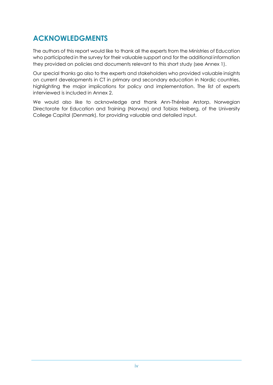# <span id="page-7-0"></span>**ACKNOWLEDGMENTS**

The authors of this report would like to thank all the experts from the Ministries of Education who participated in the survey for their valuable support and for the additional information they provided on policies and documents relevant to this short study (see Annex 1).

Our special thanks go also to the experts and stakeholders who provided valuable insights on current developments in CT in primary and secondary education in Nordic countries, highlighting the major implications for policy and implementation. The list of experts interviewed is included in Annex 2.

We would also like to acknowledge and thank Ann-Thérèse Arstorp, Norwegian Directorate for Education and Training (Norway) and Tobias Heiberg, of the University College Capital (Denmark), for providing valuable and detailed input.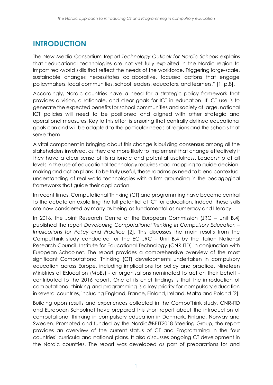# <span id="page-8-0"></span>**INTRODUCTION**

The New Media Consortium Report *Technology Outlook for Nordic Schools* explains that "educational technologies are not yet fully exploited in the Nordic region to impart real-world skills that reflect the needs of the workforce. Triggering large-scale, sustainable changes necessitates collaborative, focused actions that engage policymakers, local communities, school leaders, educators, and learners." [\[1,](#page-34-1) p.8].

Accordingly, Nordic countries have a need for a strategic policy framework that provides a vision, a rationale, and clear goals for ICT in education. If ICT use is to generate the expected benefits for school communities and society at large, national ICT policies will need to be positioned and aligned with other strategic and operational measures. Key to this effort is ensuring that centrally defined educational goals can and will be adapted to the particular needs of regions and the schools that serve them.

A vital component in bringing about this change is building consensus among all the stakeholders involved, as they are more likely to implement that change effectively if they have a clear sense of its rationale and potential usefulness. Leadership at all levels in the use of educational technology requires road-mapping to guide decisionmaking and action plans. To be truly useful, these roadmaps need to blend contextual understanding of real-world technologies with a firm grounding in the pedagogical frameworks that guide their application.

In recent times, Computational Thinking (CT) and programming have become central to the debate on exploiting the full potential of ICT for education. Indeed, these skills are now considered by many as being as fundamental as numeracy and literacy.

In 2016, the Joint Research Centre of the European Commission (JRC – Unit B.4) published the report *Developing Computational Thinking in Compulsory Education – Implications for Policy and Practice* [\[2\]](#page-34-2). This discusses the main results from the CompuThink study conducted for the EC JRC – Unit B.4 by the Italian National Research Council, Institute for Educational Technology (CNR-ITD) in conjunction with European Schoolnet. The report provides a comprehensive overview of the most significant Computational Thinking (CT) developments undertaken in compulsory education across Europe, including implications for policy and practice. Nineteen Ministries of Education (MoEs) - or organisations nominated to act on their behalf contributed to the 2016 report. One of its chief findings is that the introduction of computational thinking and programming is a key priority for compulsory education in several countries, including England, France, Finland, Ireland, Malta and Poland [\[2\]](#page-34-2).

Building upon results and experiences collected in the CompuThink study, CNR-ITD and European Schoolnet have prepared this short report about the introduction of computational thinking in compulsory education in Denmark, Finland, Norway and Sweden. Promoted and funded by the Nordic@BETT2018 Steering Group, the report provides an overview of the current status of CT and Programming in the four countries' curricula and national plans. It also discusses ongoing CT development in the Nordic countries. The report was developed as part of preparations for and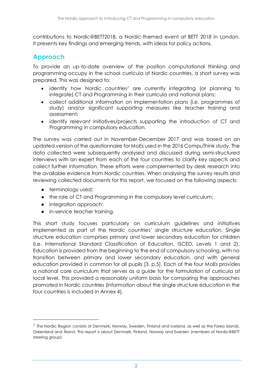contributions to Nordic@BETT2018, a Nordic-themed event at BETT 2018 in London. It presents key findings and emerging trends, with ideas for policy actions.

### <span id="page-9-0"></span>**Approach**

To provide an up-to-date overview of the position computational thinking and programming occupy in the school curricula of Nordic countries, a short survey was prepared. This was designed to:

- identify how Nordic countries<sup>7</sup> are currently integrating (or planning to integrate) CT and Programming in their curricula and national plans;
- collect additional information on implementation plans (i.e. programmes of study) and/or significant supporting measures like teacher training and assessment;
- identify relevant initiatives/projects supporting the introduction of CT and Programming in compulsory education.

The survey was carried out in November-December 2017 and was based on an updated version of the questionnaire for MoEs used in the 2016 CompuThink study. The data collected were subsequently analysed and discussed during semi-structured interviews with an expert from each of the four countries to clarify key aspects and collect further information. These efforts were complemented by desk research into the available evidence from Nordic countries. When analysing the survey results and reviewing collected documents for this report, we focused on the following aspects:

• terminology used;

-

- the role of CT and Programming in the compulsory level curriculum;
- integration approach;
- in-service teacher training.

This short study focuses particularly on curriculum guidelines and initiatives implemented as part of the Nordic countries' single structure education. Single structure education comprises primary and lower secondary education for children (i.e. International Standard Classification of Education, ISCED, Levels 1 and 2). Education is provided from the beginning to the end of compulsory schooling, with no transition between primary and lower secondary education, and with general education provided in common for all pupils [\[3,](#page-34-3) p.5]. Each of the four MoEs provides a national core curriculum that serves as a guide for the formulation of curricula at local level. This provided a reasonably uniform basis for comparing the approaches promoted in Nordic countries (information about the single structure education in the four countries is included in Annex 4).

 $^7$  The Nordic Region consists of Denmark, Norway, Sweden, Finland and Iceland, as well as the Fareo Islands, Greenland and Åland. This report is about Denmark, Finland, Norway and Sweden (members of Nordic@BETT steering group).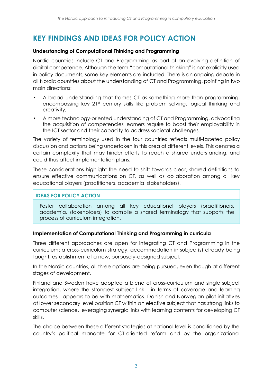# <span id="page-10-0"></span>**KEY FINDINGS AND IDEAS FOR POLICY ACTION**

#### **Understanding of Computational Thinking and Programming**

Nordic countries include CT and Programming as part of an evolving definition of digital competence. Although the term "computational thinking" is not explicitly used in policy documents, some key elements are included. There is an ongoing debate in all Nordic countries about the understanding of CT and Programming, pointing in two main directions:

- A broad understanding that frames CT as something more than programming, encompassing key 21<sup>st</sup> century skills like problem solving, logical thinking and creativity;
- A more technology-oriented understanding of CT and Programming, advocating the acquisition of competencies learners require to boost their employability in the ICT sector and their capacity to address societal challenges.

The variety of terminology used in the four countries reflects multi-faceted policy discussion and actions being undertaken in this area at different levels. This denotes a certain complexity that may hinder efforts to reach a shared understanding, and could thus affect implementation plans.

These considerations highlight the need to shift towards clear, shared definitions to ensure effective communications on CT, as well as collaboration among all key educational players (practitioners, academia, stakeholders).

### **IDEAS FOR POLICY ACTION**

Foster collaboration among all key educational players (practitioners, academia, stakeholders) to compile a shared terminology that supports the process of curriculum integration.

#### **Implementation of Computational Thinking and Programming in curricula**

Three different approaches are open for integrating CT and Programming in the curriculum: a cross-curriculum strategy, accommodation in subject(s) already being taught, establishment of a new, purposely-designed subject.

In the Nordic countries, all three options are being pursued, even though at different stages of development.

Finland and Sweden have adopted a blend of cross-curriculum and single subject integration, where the strongest subject link - in terms of coverage and learning outcomes - appears to be with mathematics. Danish and Norwegian pilot initiatives at lower secondary level position CT within an elective subject that has strong links to computer science, leveraging synergic links with learning contents for developing CT skills.

The choice between these different strategies at national level is conditioned by the country's political mandate for CT-oriented reform and by the organizational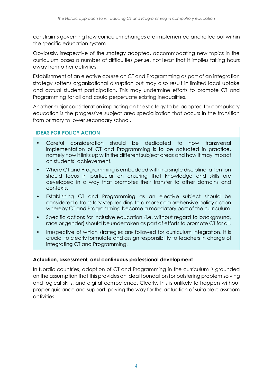constraints governing how curriculum changes are implemented and rolled out within the specific education system.

Obviously, irrespective of the strategy adopted, accommodating new topics in the curriculum poses a number of difficulties *per se*, not least that it implies taking hours away from other activities.

Establishment of an elective course on CT and Programming as part of an integration strategy softens organisational disruption but may also result in limited local uptake and actual student participation. This may undermine efforts to promote CT and Programming for all and could perpetuate existing inequalities.

Another major consideration impacting on the strategy to be adopted for compulsory education is the progressive subject area specialization that occurs in the transition from primary to lower secondary school.

### **IDEAS FOR POLICY ACTION**

- Careful consideration should be dedicated to how transversal implementation of CT and Programming is to be actuated in practice, namely how it links up with the different subject areas and how it may impact on students' achievement.
- Where CT and Programming is embedded within a single discipline, attention should focus in particular on ensuring that knowledge and skills are developed in a way that promotes their transfer to other domains and contexts.
- Establishing CT and Programming as an elective subject should be considered a transitory step leading to a more comprehensive policy action whereby CT and Programming become a mandatory part of the curriculum.
- Specific actions for inclusive education (i.e. without regard to background, race or gender) should be undertaken as part of efforts to promote CT for all.
- Irrespective of which strategies are followed for curriculum integration, it is crucial to clearly formulate and assign responsibility to teachers in charge of integrating CT and Programming.

### **Actuation, assessment, and continuous professional development**

In Nordic countries, adoption of CT and Programming in the curriculum is grounded on the assumption that this provides an ideal foundation for bolstering problem solving and logical skills, and digital competence. Clearly, this is unlikely to happen without proper guidance and support, paving the way for the actuation of suitable classroom activities.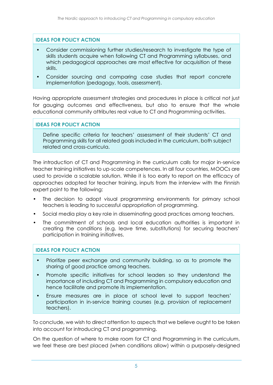### **IDEAS FOR POLICY ACTION**

- Consider commissioning further studies/research to investigate the type of skills students acquire when following CT and Programming syllabuses, and which pedagogical approaches are most effective for acquisition of these skills.
- Consider sourcing and comparing case studies that report concrete implementation (pedagogy, tools, assessment).

Having appropriate assessment strategies and procedures in place is critical not just for gauging outcomes and effectiveness, but also to ensure that the whole educational community attributes real value to CT and Programming activities.

#### **IDEAS FOR POLICY ACTION**

Define specific criteria for teachers' assessment of their students' CT and Programming skills for all related goals included in the curriculum, both subject related and cross-curricula.

The introduction of CT and Programming in the curriculum calls for major in-service teacher training initiatives to up-scale competences. In all four countries, MOOCs are used to provide a scalable solution. While it is too early to report on the efficacy of approaches adopted for teacher training, inputs from the interview with the Finnish expert point to the following:

- The decision to adopt visual programming environments for primary school teachers is leading to successful appropriation of programming.
- Social media play a key role in disseminating good practices among teachers.
- The commitment of schools and local education authorities is important in creating the conditions (e.g. leave time, substitutions) for securing teachers' participation in training initiatives.

### **IDEAS FOR POLICY ACTION**

- Prioritize peer exchange and community building, so as to promote the sharing of good practice among teachers.
- Promote specific initiatives for school leaders so they understand the importance of including CT and Programming in compulsory education and hence facilitate and promote its implementation.
- Ensure measures are in place at school level to support teachers' participation in in-service training courses (e.g. provision of replacement teachers).

To conclude, we wish to direct attention to aspects that we believe ought to be taken into account for introducing CT and programming.

On the question of where to make room for CT and Programming in the curriculum, we feel these are best placed (when conditions allow) within a purposely-designed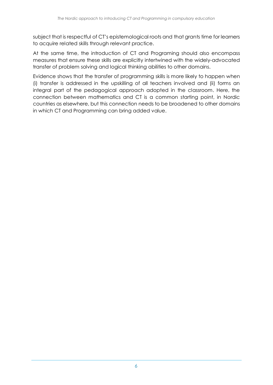subject that is respectful of CT's epistemological roots and that grants time for learners to acquire related skills through relevant practice.

At the same time, the introduction of CT and Programing should also encompass measures that ensure these skills are explicitly intertwined with the widely-advocated transfer of problem solving and logical thinking abilities to other domains.

Evidence shows that the transfer of programming skills is more likely to happen when (i) transfer is addressed in the upskilling of all teachers involved and (ii) forms an integral part of the pedagogical approach adopted in the classroom. Here, the connection between mathematics and CT is a common starting point, in Nordic countries as elsewhere, but this connection needs to be broadened to other domains in which CT and Programming can bring added value.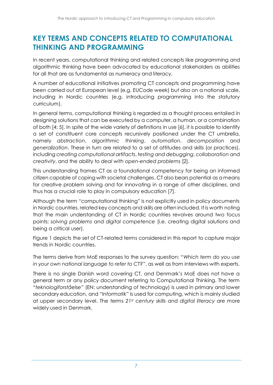# <span id="page-14-0"></span>**KEY TERMS AND CONCEPTS RELATED TO COMPUTATIONAL THINKING AND PROGRAMMING**

In recent years, computational thinking and related concepts like programming and algorithmic thinking have been advocated by educational stakeholders as abilities for all that are as fundamental as numeracy and literacy.

A number of educational initiatives promoting CT concepts and programming have been carried out at European level (e.g. EUCode week) but also on a national scale, including in Nordic countries (e.g. introducing programming into the statutory curriculum).

In general terms, computational thinking is regarded as a thought process entailed in designing solutions that can be executed by a computer, a human, or a combination of both [\[4;](#page-34-4) [5\]](#page-34-5). In spite of the wide variety of definitions in use [\[6\]](#page-34-6), it is possible to identify a set of constituent core concepts recursively positioned under the CT umbrella, namely *abstraction*, *algorithmic thinking*, *automation*, *decomposition* and *generalization*. These in turn are related to a set of attitudes and skills (or practices), including *creating computational artifacts*, *testing* and *debugging*, *collaboration* and *creativity*, and the ability to *deal with open-ended problems* [\[2\]](#page-34-2).

This understanding frames CT as a foundational competency for being an informed citizen capable of coping with societal challenges. CT also bears potential as a means for creative problem solving and for innovating in a range of other disciplines, and thus has a crucial role to play in compulsory education [\[7\]](#page-34-7).

Although the term "computational thinking" is not explicitly used in policy documents in Nordic countries, related key concepts and skills are often included. It is worth noting that the main understanding of CT in Nordic countries revolves around two focus points: *solving problems* and *digital competence* (i.e. creating digital solutions and being a critical user).

[Figure 1](#page-15-0) depicts the set of CT-related terms considered in this report to capture major trends in Nordic countries.

The terms derive from MoE responses to the survey question: "*Which term do you use in your own national language to refer to CT?*", as well as from interviews with experts.

There is no single Danish word covering CT, and Denmark's MoE does not have a general term or any policy document referring to Computational Thinking. The term "*teknologiforståelse*" (EN: understanding of technology) is used in primary and lower secondary education, and "*Informatik*" is used for computing, which is mainly studied at upper secondary level. The terms *21st century skills* and *digital literacy* are more widely used in Denmark.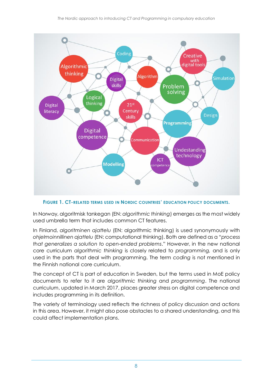

<span id="page-15-0"></span>**FIGURE 1. CT-RELATED TERMS USED IN NORDIC COUNTRIES' EDUCATION POLICY DOCUMENTS.**

In Norway, algoritmisk tankegan (EN: *algorithmic thinking*) emerges as the most widely used umbrella term that includes common CT features.

In Finland, *algoritminen ajattelu* (EN: algorithmic thinking) is used synonymously with *ohjelmoinnillinen ajattelu* (EN: computational thinking). Both are defined as a "*process that generalizes a solution to open-ended problems*." However, in the new national core curriculum *algorithmic thinking* is closely related to *programming,* and is only used in the parts that deal with programming. The term *coding* is not mentioned in the Finnish national core curriculum.

The concept of CT is part of education in Sweden, but the terms used in MoE policy documents to refer to it are *algorithmic thinking* and *programming*. The national curriculum, updated in March 2017, places greater stress on digital competence and includes programming in its definition.

The variety of terminology used reflects the richness of policy discussion and actions in this area. However, it might also pose obstacles to a shared understanding, and this could affect implementation plans.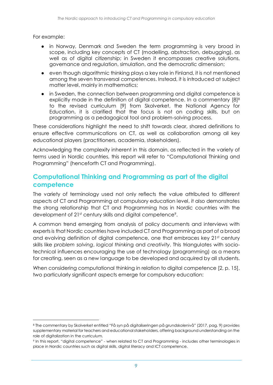For example:

-

- in Norway, Denmark and Sweden the term programming is very broad in scope, including key concepts of CT (modelling, abstraction, debugging), as well as of digital citizenship; in Sweden it encompasses creative solutions, governance and regulation, simulation, and the democratic dimension;
- even though algorithmic thinking plays a key role in Finland, it is not mentioned among the seven transversal competences. Instead, it is introduced at subject matter level, mainly in mathematics;
- in Sweden, the connection between programming and digital competence is explicitly made in the definition of digital competence. In a commentary [\[8\]](#page-34-8)<sup>8</sup> to the revised curriculum [\[9\]](#page-34-9) from Skolverket, the National Agency for Education, it is clarified that the focus is not on coding skills, but on programming as a pedagogical tool and problem-solving process.

These considerations highlight the need to shift towards clear, shared definitions to ensure effective communications on CT, as well as collaboration among all key educational players (practitioners, academia, stakeholders).

Acknowledging the complexity inherent in this domain, as reflected in the variety of terms used in Nordic countries, this report will refer to "Computational Thinking and Programming" (henceforth CT and Programming).

### <span id="page-16-0"></span>**Computational Thinking and Programming as part of the digital competence**

The variety of terminology used not only reflects the value attributed to different aspects of CT and Programming at compulsory education level, it also demonstrates the strong relationship that CT and Programming has in Nordic countries with the development of 21<sup>st</sup> century skills and digital competence<sup>9</sup>.

A common trend emerging from analysis of policy documents and interviews with experts is that Nordic countries have included CT and Programming as part of a broad and evolving definition of digital competence, one that embraces key 21st century skills like *problem solving*, *logical thinkin*g and *creativity*. This triangulates with sociotechnical influences encouraging the use of technology (programming) as a means for creating, seen as a new language to be developed and acquired by all students.

When considering computational thinking in relation to digital competence [\[2,](#page-34-2) p. 15], two particularly significant aspects emerge for compulsory education:

<sup>8</sup> The commentary by Skolverket entitled "Få syn på digitaliseringen på grundskolenivå" (2017, pag. 9) provides supplementary material for teachers and educational stakeholders, offering background understanding on the role of digitalization in the curriculum.

<sup>9</sup> In this report, "digital competence" - when related to CT and Programming - includes other terminologies in place in Nordic countries such as digital skills, digital literacy and ICT competence.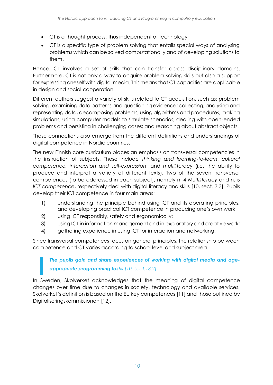- CT is a thought process, thus independent of technology;
- CT is a specific type of problem solving that entails special ways of analysing problems which can be solved computationally and of developing solutions to them.

Hence, CT involves a set of skills that can transfer across disciplinary domains. Furthermore, CT is not only a way to acquire problem-solving skills but also a support for expressing oneself with digital media. This means that CT capacities are applicable in design and social cooperation.

Different authors suggest a variety of skills related to CT acquisition, such as: problem solving, examining data patterns and questioning evidence; collecting, analysing and representing data, decomposing problems, using algorithms and procedures, making simulations; using computer models to simulate scenarios; dealing with open-ended problems and persisting in challenging cases; and reasoning about abstract objects.

These connections also emerge from the different definitions and understandings of digital competence in Nordic countries.

The new Finnish core curriculum places an emphasis on transversal competencies in the instruction of subjects. These include *thinking and learning-to-learn*, *cultural competence, interaction and self-expression*, and *multiliteracy* (i.e. the ability to produce and interpret a variety of different texts). Two of the seven transversal competences (to be addressed in each subject), namely n. 4 *Multiliteracy* and n. 5 *ICT competence*, respectively deal with digital literacy and skills [\[10,](#page-34-10) sect. 3.3]. Pupils develop their ICT competence in four main areas:

- 1) understanding the principle behind using ICT and its operating principles, and developing practical ICT competence in producing one's own work;
- 2) using ICT responsibly, safely and ergonomically;
- 3) using ICT in information management and in exploratory and creative work;
- 4) gathering experience in using ICT for interaction and networking.

Since transversal competences focus on general principles, the relationship between competence and CT varies according to school level and subject area.

*The pupils gain and share experiences of working with digital media and ageappropriate programming tasks [\[10,](#page-34-10) sect.13.2]*

In Sweden, Skolverket acknowledges that the meaning of digital competence changes over time due to changes in society, technology and available services. Skolverket's definition is based on the EU key competences [\[11\]](#page-34-11) and those outlined by Digitaliseringskommissionen [\[12\]](#page-34-12).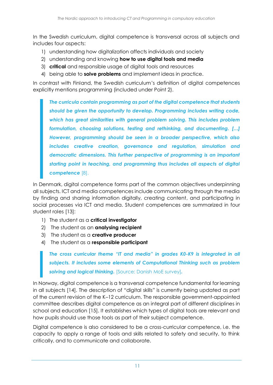In the Swedish curriculum, digital competence is transversal across all subjects and includes four aspects:

- 1) understanding how digitalization affects individuals and society
- 2) understanding and knowing **how to use digital tools and media**
- 3) **critical** and responsible usage of digital tools and resources
- 4) being able to **solve problems** and implement ideas in practice.

In contrast with Finland, the Swedish curriculum's definition of digital competences explicitly mentions programming (included under Point 2).

*The curricula contain programming as part of the digital competence that students should be given the opportunity to develop. Programming includes writing code, which has great similarities with general problem solving. This includes problem formulation, choosing solutions, testing and rethinking, and documenting. […] However, programming should be seen in a broader perspective, which also includes creative creation, governance and regulation, simulation and democratic dimensions. This further perspective of programming is an important starting point in teaching, and programming thus includes all aspects of digital competence* [\[8\]](#page-34-8).

In Denmark, digital competence forms part of the common objectives underpinning all subjects. ICT and media competences include communicating through the media by finding and sharing information digitally, creating content, and participating in social processes via ICT and media. Student competences are summarized in four student roles [\[13\]](#page-34-13):

- 1) The student as a **critical investigator**
- 2) The student as an **analysing recipient**
- 3) The student as a **creative producer**
- 4) The student as a **responsible participant**

*The cross curricular theme "IT and media" in grades K0-K9 is integrated in all subjects. It includes some elements of Computational Thinking such as problem solving and logical thinking.* [Source: Danish MoE survey]*.*

In Norway, digital competence is a transversal competence fundamental for learning in all subjects [\[14\]](#page-34-14). The description of "digital skills" is currently being updated as part of the current revision of the K–12 curriculum. The responsible government-appointed committee describes digital competence as an integral part of different disciplines in school and education [\[15\]](#page-35-0). It establishes which types of digital tools are relevant and how pupils should use those tools as part of their subject competence.

Digital competence is also considered to be a cross-curricular competence, i.e. the capacity to apply a range of tools and skills related to safety and security, to think critically, and to communicate and collaborate.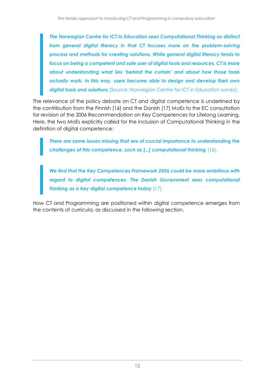*The Norwegian Centre for ICT in Education sees Computational Thinking as distinct from general digital literacy in that CT focuses more on the problem-solving process and methods for creating solutions. While general digital literacy tends to focus on being a competent and safe user of digital tools and resources, CT is more about understanding what lies 'behind the curtain' and about how those tools actually work. In this way, users become able to design and develop their own digital tools and solutions* [Source: Norwegian Centre for ICT in Education survey].

The relevance of the policy debate on CT and digital competence is underlined by the contribution from the Finnish [\[16\]](#page-35-1) and the Danish [\[17\]](#page-35-2) MoEs to the EC consultation for revision of the 2006 Recommendation on Key Competences for Lifelong Learning. Here, the two MoEs explicitly called for the inclusion of Computational Thinking in the definition of digital competence:

*There are some issues missing that are of crucial importance to understanding the challenges of this competence, such as [...] computational thinking* [\[16\]](#page-35-1).

*We find that the Key Competences Framework 2006 could be more ambitious with regard to digital competences. The Danish Government sees computational thinking as a key digital competence today* [\[17\]](#page-35-2).

How CT and Programming are positioned within digital competence emerges from the contents of curricula, as discussed in the following section.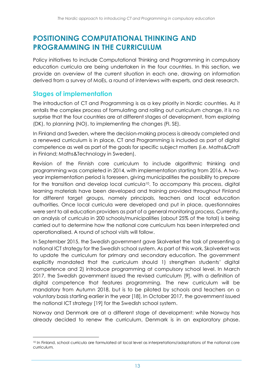# <span id="page-20-0"></span>**POSITIONING COMPUTATIONAL THINKING AND PROGRAMMING IN THE CURRICULUM**

Policy initiatives to include Computational Thinking and Programming in compulsory education curricula are being undertaken in the four countries. In this section, we provide an overview of the current situation in each one, drawing on information derived from a survey of MoEs, a round of interviews with experts, and desk research.

### <span id="page-20-1"></span>**Stages of implementation**

 $\overline{a}$ 

The introduction of CT and Programming is as a key priority in Nordic countries. As it entails the complex process of formulating and rolling out curriculum change, it is no surprise that the four countries are at different stages of development, from exploring (DK), to planning (NO), to implementing the changes (FI, SE).

In Finland and Sweden, where the decision-making process is already completed and a renewed curriculum is in place, CT and Programming is included as part of digital competence as well as part of the goals for specific subject matters (i.e. Maths&Craft in Finland; Maths&Technology in Sweden).

Revision of the Finnish core curriculum to include algorithmic thinking and programming was completed in 2014, with implementation starting from 2016. A twoyear implementation period is foreseen, giving municipalities the possibility to prepare for the transition and develop local curricula<sup>10</sup>. To accompany this process, digital learning materials have been developed and training provided throughout Finland for different target groups, namely principals, teachers and local education authorities. Once local curricula were developed and put in place, questionnaires were sent to all education providers as part of a general monitoring process. Currently, an analysis of curricula in 200 schools/municipalities (about 25% of the total) is being carried out to determine how the national core curriculum has been interpreted and operationalised. A round of school visits will follow.

In September 2015, the Swedish government gave Skolverket the task of presenting a national ICT strategy for the Swedish school system. As part of this work, Skolverket was to update the curriculum for primary and secondary education. The government explicitly mandated that the curriculum should 1) strengthen students' digital competence and 2) introduce programming at compulsory school level. In March 2017, the Swedish government issued the revised curriculum [\[9\]](#page-34-9), with a definition of digital competence that features programming. The new curriculum will be mandatory from Autumn 2018, but is to be piloted by schools and teachers on a voluntary basis starting earlier in the year [\[18\]](#page-35-3). In October 2017, the government issued the national ICT strategy [\[19\]](#page-35-4) for the Swedish school system.

Norway and Denmark are at a different stage of development: while Norway has already decided to renew the curriculum, Denmark is in an exploratory phase.

<sup>10</sup> In Finland, school curricula are formulated at local level as interpretations/adaptations of the national core curriculum.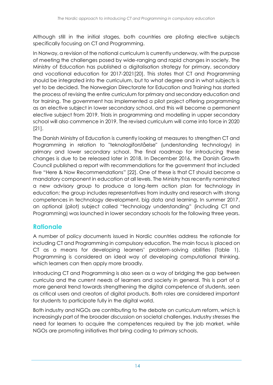Although still in the initial stages, both countries are piloting elective subjects specifically focusing on CT and Programming.

In Norway, a revision of the national curriculum is currently underway, with the purpose of meeting the challenges posed by wide-ranging and rapid changes in society. The Ministry of Education has published a digitalisation strategy for primary, secondary and vocational education for 2017-2021[\[20\]](#page-35-5). This states that CT and Programming should be integrated into the curriculum, but to what degree and in what subjects is yet to be decided. The Norwegian Directorate for Education and Training has started the process of revising the entire curriculum for primary and secondary education and for training. The government has implemented a pilot project offering programming as an elective subject in lower secondary school, and this will become a permanent elective subject from 2019. Trials in programming and modelling in upper secondary school will also commence in 2019. The revised curriculum will come into force in 2020 [\[21\]](#page-35-6).

The Danish Ministry of Education is currently looking at measures to strengthen CT and Programming in relation to "teknologiforståelse" (understanding technology) in primary and lower secondary school. The final roadmap for introducing these changes is due to be released later in 2018. In December 2016, the Danish Growth Council published a report with recommendations for the government that included five "Here & Now Recommendations" [\[22\]](#page-35-7). One of these is that CT should become a mandatory component in education at all levels. The Ministry has recently nominated a new advisory group to produce a long-term action plan for technology in education; the group includes representatives from industry and research with strong competences in technology development, big data and learning. In summer 2017, an optional (pilot) subject called "technology understanding" (including CT and Programming) was launched in lower secondary schools for the following three years.

# <span id="page-21-0"></span>**Rationale**

A number of policy documents issued in Nordic countries address the rationale for including CT and Programming in compulsory education. The main focus is placed on CT as a means for developing learners' problem-solving abilities [\(Table 1\)](#page-22-1). Programming is considered an ideal way of developing computational thinking, which learners can then apply more broadly.

Introducing CT and Programming is also seen as a way of bridging the gap between curricula and the current needs of learners and society in general. This is part of a more general trend towards strengthening the digital competence of students, seen as critical users and creators of digital products. Both roles are considered important for students to participate fully in the digital world.

Both industry and NGOs are contributing to the debate on curriculum reform, which is increasingly part of the broader discussion on societal challenges. Industry stresses the need for learners to acquire the competences required by the job market, while NGOs are promoting initiatives that bring coding to primary schools.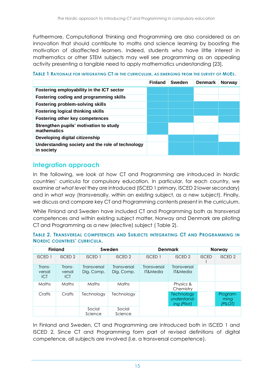Furthermore, Computational Thinking and Programming are also considered as an innovation that should contribute to maths and science learning by boosting the motivation of disaffected learners. Indeed, students who have little interest in mathematics or other STEM subjects may well see programming as an appealing activity presenting a tangible need to apply mathematics understanding [\[23\]](#page-35-8).

|                                                                | <b>Finland</b> | Sweden | <b>Denmark</b> | <b>Norway</b> |
|----------------------------------------------------------------|----------------|--------|----------------|---------------|
| Fostering employability in the ICT sector                      |                |        |                |               |
| Fostering coding and programming skills                        |                |        |                |               |
| <b>Fostering problem-solving skills</b>                        |                |        |                |               |
| <b>Fostering logical thinking skills</b>                       |                |        |                |               |
| <b>Fostering other key competences</b>                         |                |        |                |               |
| Strengthen pupils' motivation to study<br>mathematics          |                |        |                |               |
| Developing digital citizenship                                 |                |        |                |               |
| Understanding society and the role of technology<br>in society |                |        |                |               |

#### <span id="page-22-1"></span>**TABLE 1 RATIONALE FOR INTEGRATING CT IN THE CURRICULUM, AS EMERGING FROM THE SURVEY OF MOES.**

### <span id="page-22-0"></span>**Integration approach**

In the following, we look at how CT and Programming are introduced in Nordic countries' curricula for compulsory education. In particular, for each country, we examine at *what level* they are introduced (ISCED 1 primary, ISCED 2 lower secondary) and in *what way* (transversally, within an existing subject, as a new subject). Finally, we discuss and compare key CT and Programming contents present in the curriculum.

While Finland and Sweden have included CT and Programming both as transversal competences and within existing subject matter, Norway and Denmark are piloting CT and Programming as a new (elective) subject ( [Table 2\)](#page-22-2).

<span id="page-22-2"></span>

| TABLE 2. TRANSVERSAL COMPETENCES AND SUBJECTS INTEGRATING CT AND PROGRAMMING IN |  |  |  |
|---------------------------------------------------------------------------------|--|--|--|
| <b>NORDIC COUNTRIES' CURRICULA.</b>                                             |  |  |  |

|                                | <b>Finland</b>          |                           | Sweden                    |                         | <b>Denmark</b>                                  |              | <b>Norway</b>               |
|--------------------------------|-------------------------|---------------------------|---------------------------|-------------------------|-------------------------------------------------|--------------|-----------------------------|
| <b>ISCED 1</b>                 | <b>ISCED 2</b>          | <b>ISCED 1</b>            | <b>ISCED 2</b>            | <b>ISCED 1</b>          | <b>ISCED 2</b>                                  | <b>ISCED</b> | <b>ISCED 2</b>              |
| Trans-<br>versal<br><b>ICT</b> | Trans-<br>versal<br>ICT | Transversal<br>Dig. Comp. | Transversal<br>Dig. Comp. | Transversal<br>IT&Media | Transversal<br>IT&Media                         |              |                             |
| Maths                          | Maths                   | Maths                     | Maths                     |                         | Physics &<br>Chemistry                          |              |                             |
| Crafts                         | Crafts                  | Technology                | Technology                |                         | <b>Technology</b><br>understand-<br>ing (Pilot) |              | Program-<br>ming<br>(PILOT) |
|                                |                         | Social<br>Science         | Social<br>Science         |                         |                                                 |              |                             |

In Finland and Sweden, CT and Programming are introduced both in ISCED 1 and ISCED 2. Since CT and Programming form part of revised definitions of digital competence, all subjects are involved (i.e. a transversal competence).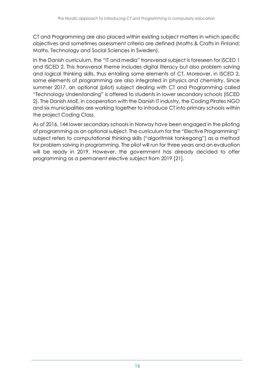CT and Programming are also placed within existing subject matters in which specific objectives and sometimes assessment criteria are defined (Maths & Crafts in Finland; Maths, Technology and Social Sciences in Sweden).

In the Danish curriculum, the "IT and media" transversal subject is foreseen for ISCED 1 and ISCED 2. This transversal theme includes digital literacy but also problem solving and logical thinking skills, thus entailing some elements of CT. Moreover, in ISCED 2, some elements of programming are also integrated in physics and chemistry. Since summer 2017, an optional (pilot) subject dealing with CT and Programming called "Technology Understanding" is offered to students in lower secondary schools (ISCED 2). The Danish MoE, in cooperation with the Danish IT industry, the Coding Pirates NGO and six municipalities are working together to introduce CT into primary schools within the project Coding Class.

As of 2016, 144 lower secondary schools in Norway have been engaged in the piloting of programming as an optional subject. The curriculum for the "Elective Programming" subject refers to computational thinking skills ("algoritmisk tankegang") as a method for problem solving in programming. The pilot will run for three years and an evaluation will be ready in 2019. However, the government has already decided to offer programming as a permanent elective subject from 2019 [\[21\]](#page-35-6).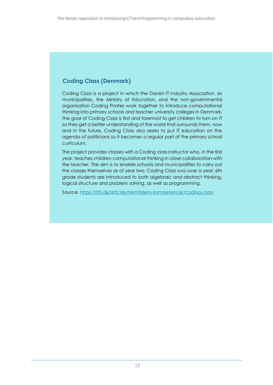### **Coding Class (Denmark)**

Coding Class is a project in which the Danish IT Industry Association, six municipalities, the Ministry of Education, and the non-governmental organisation Coding Pirates work together to introduce computational thinking into primary schools and teacher university colleges in Denmark. The goal of Coding Class is first and foremost to get children to turn on IT so they get a better understanding of the world that surrounds them, now and in the future. Coding Class also seeks to put IT education on the agenda of politicians so it becomes a regular part of the primary school curriculum.

The project provides classes with a Coding class instructor who, in the first year, teaches children computational thinking in close collaboration with the teacher. The aim is to enable schools and municipalities to carry out the classes themselves as of year two. Coding Class runs over a year: 6th grade students are introduced to both algebraic and abstract thinking, logical structure and problem solving, as well as programming.

Source:<https://itb.dk/articles/fremtidens-kompetencer/coding-class>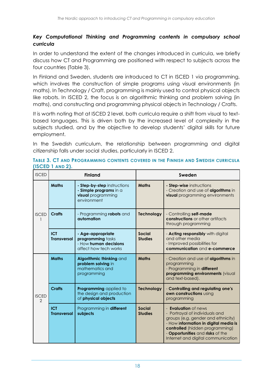### *Key Computational Thinking and Programming contents in compulsory school curricula*

In order to understand the extent of the changes introduced in curricula, we briefly discuss how CT and Programming are positioned with respect to subjects across the four countries [\(Table 3\)](#page-25-0).

In Finland and Sweden, students are introduced to CT in ISCED 1 via programming, which involves the construction of simple programs using visual environments (in maths). In Technology / Craft, programming is mainly used to control physical objects like robots. In ISCED 2, the focus is on algorithmic thinking and problem solving (in maths), and constructing and programming physical objects in Technology / Crafts.

It is worth noting that at ISCED 2 level, both curricula require a shift from visual to textbased languages. This is driven both by the increased level of complexity in the subjects studied, and by the objective to develop students' digital skills for future employment.

In the Swedish curriculum, the relationship between programming and digital citizenship falls under social studies, particularly in ISCED 2.

<span id="page-25-0"></span>**TABLE 3. CT AND PROGRAMMING CONTENTS COVERED IN THE FINNISH AND SWEDISH CURRICULA (ISCED 1 AND 2).**

| <b>ISCED</b>                  |                                  | <b>Finland</b>                                                                             | Sweden                          |                                                                                                                                                                                                                                                    |  |
|-------------------------------|----------------------------------|--------------------------------------------------------------------------------------------|---------------------------------|----------------------------------------------------------------------------------------------------------------------------------------------------------------------------------------------------------------------------------------------------|--|
|                               | <b>Maths</b>                     | - Step-by-step instructions<br>- Simple programs in a<br>visual programming<br>environment | <b>Maths</b>                    | - Step-wise instructions<br>- Creation and use of algorithms in<br><b>visual</b> programming environments                                                                                                                                          |  |
| <b>ISCED</b><br>1             | <b>Crafts</b>                    | - Programming robots and<br>automation                                                     | <b>Technology</b>               | - Controlling self-made<br>constructions or other artifacts<br>through programming                                                                                                                                                                 |  |
|                               | <b>ICT</b><br><b>Transversal</b> | - Age-appropriate<br>programming tasks<br>- How human decisions<br>affect how tech works   | Social<br><b>Studies</b>        | - Acting responsibly with digital<br>and other media<br>- Improved possibilities for<br>communication and e-commerce                                                                                                                               |  |
|                               | <b>Maths</b>                     | Algorithmic thinking and<br>problem solving in<br>mathematics and<br>programming           | <b>Maths</b>                    | - Creation and use of <b>algorithms</b> in<br>programming<br>- Programming in different<br>programming environments (visual<br>and text-based).                                                                                                    |  |
| <b>ISCED</b><br>$\mathcal{P}$ | <b>Crafts</b>                    | Programming applied to<br>the design and production<br>of physical objects                 | <b>Technology</b>               | - Controlling and regulating one's<br>own constructions using<br>programming                                                                                                                                                                       |  |
|                               | <b>ICT</b><br><b>Transversal</b> | Programming in different<br>subjects                                                       | <b>Social</b><br><b>Studies</b> | - Evaluation of news<br>- Portrayal of individuals and<br>groups (e.g. gender and ethnicity)<br>- How information in digital media is<br>controlled (hidden programming)<br>- Opportunities and risks of the<br>Internet and digital communication |  |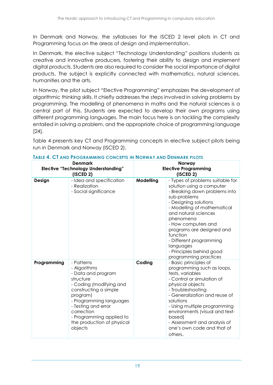In Denmark and Norway, the syllabuses for the ISCED 2 level pilots in CT and Programming focus on the areas of *design* and *implementation*.

In Denmark, the elective subject "Technology Understanding" positions students as creative and innovative producers, fostering their ability to design and implement digital products. Students are also required to consider the social importance of digital products. The subject is explicitly connected with mathematics, natural sciences, humanities and the arts.

In Norway, the pilot subject "Elective Programming" emphasizes the development of algorithmic thinking skills. It chiefly addresses the steps involved in solving problems by programming. The modelling of phenomena in maths and the natural sciences is a central part of this. Students are expected to develop their own programs using different programming languages. The main focus here is on tackling the complexity entailed in solving a problem, and the appropriate choice of programming language [\[24\]](#page-35-9)[.](#page-26-0)

<span id="page-26-0"></span>[Table 4](#page-26-0) presents key CT and Programming concepts in elective subject pilots being run in Denmark and Norway (ISCED 2).

|             | <b>Denmark</b><br><b>Elective "Technology Understanding"</b><br>$($ ISCED 2 $)$                                                                                                                                                                                    |           | Norway<br><b>Elective Programming</b><br>$($ ISCED 2 $)$                                                                                                                                                                                                                                                                                                                 |
|-------------|--------------------------------------------------------------------------------------------------------------------------------------------------------------------------------------------------------------------------------------------------------------------|-----------|--------------------------------------------------------------------------------------------------------------------------------------------------------------------------------------------------------------------------------------------------------------------------------------------------------------------------------------------------------------------------|
| Design      | - Idea and specification<br>- Realization<br>- Social significance                                                                                                                                                                                                 | Modelling | - Types of problems suitable for<br>solution using a computer<br>- Breaking down problems into<br>sub-problems<br>- Designing solutions<br>- Modelling of mathematical<br>and natural sciences<br>phenomena<br>- How computers and<br>programs are designed and<br>function<br>- Different programming<br>languages<br>- Principles behind good<br>programming practices |
| Programming | - Patterns<br>- Algorithms<br>- Data and program<br>structure<br>- Coding (modifying and<br>constructing a simple<br>program)<br>- Programming languages<br>- Testing and error<br>correction<br>- Programming applied to<br>the production of physical<br>objects | Coding    | - Basic principles of<br>programming such as loops,<br>tests, variables<br>- Control or simulation of<br>physical objects<br>- Troubleshooting<br>- Generalization and reuse of<br>solutions<br>- Using multiple programming<br>environments (visual and text-<br>based)<br>- Assessment and analysis of<br>one's own code and that of<br>others.                        |

#### **TABLE 4. CT AND PROGRAMMING CONCEPTS IN NORWAY AND DENMARK PILOTS**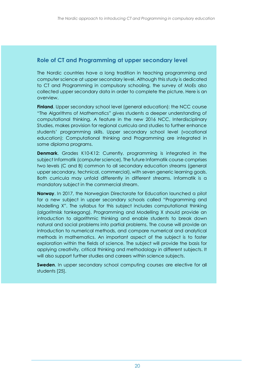### **Role of CT and Programming at upper secondary level**

The Nordic countries have a long tradition in teaching programming and computer science at upper secondary level. Although this study is dedicated to CT and Programming in compulsory schooling, the survey of MoEs also collected upper secondary data in order to complete the picture. Here is an overview.

**Finland**. Upper secondary school level (general education): the NCC course "The Algorithms of Mathematics" gives students a deeper understanding of computational thinking. A feature in the new 2016 NCC, Interdisciplinary Studies, makes provision for regional curricula and studies to further enhance students' programming skills. Upper secondary school level (vocational education): Computational thinking and Programming are integrated in some diploma programs.

**Denmark.** Grades K10-K12: Currently, programming is integrated in the subject Informatik (computer science). The future Informatik course comprises two levels (C and B) common to all secondary education streams (general upper secondary, technical, commercial), with seven generic learning goals. Both curricula may unfold differently in different streams. Informatik is a mandatory subject in the commercial stream.

**Norway**. In 2017, the Norwegian Directorate for Education launched a pilot for a new subject in upper secondary schools called "Programming and Modelling X". The syllabus for this subject includes computational thinking (algoritmisk tankegang). Programming and Modelling X should provide an introduction to algorithmic thinking and enable students to break down natural and social problems into partial problems. The course will provide an introduction to numerical methods, and compare numerical and analytical methods in mathematics. An important aspect of the subject is to foster exploration within the fields of science. The subject will provide the basis for applying creativity, critical thinking and methodology in different subjects. It will also support further studies and careers within science subjects.

**Sweden.** In upper secondary school computing courses are elective for all students [25].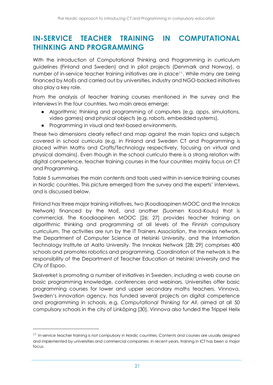## <span id="page-28-0"></span>**IN-SERVICE TEACHER TRAINING IN COMPUTATIONAL THINKING AND PROGRAMMING**

With the introduction of Computational Thinking and Programming in curriculum guidelines (Finland and Sweden) and in pilot projects (Denmark and Norway), a number of in-service teacher training initiatives are in place<sup>11</sup>. While many are being financed by MoEs and carried out by universities, industry and NGO-backed initiatives also play a key role.

From the analysis of teacher training courses mentioned in the survey and the interviews in the four countries, two main areas emerge:

- Algorithmic thinking and programming of computers (e.g. apps, simulations, video games) and physical objects (e.g. robots, embedded systems).
- Programming in visual and text-based environments.

These two dimensions clearly reflect and map against the main topics and subjects covered in school curricula (e.g. in Finland and Sweden CT and Programming is placed within Maths and Crafts/Technology respectively, focusing on virtual and physical domains). Even though in the school curricula there is a strong relation with digital competence, teacher training courses in the four countries mainly focus on CT and Programming.

[Table 5](#page-29-0) summarises the main contents and tools used within in-service training courses in Nordic countries. This picture emerged from the survey and the experts' interviews, and is discussed below.

Finland has three major training initiatives, two (Koodiaapinen MOOC and the Innokas Network) financed by the MoE, and another (Suomen Kood-Koulu) that is commercial. The Koodiaapinen MOOC [\[26;](#page-35-10) [27\]](#page-35-11) provides teacher training on algorithmic thinking and programming at all levels of the Finnish compulsory curriculum. The activities are run by the IT Trainers Association, the Innokas network, the Department of Computer Science at Helsinki University, and the Information Technology Institute at Aalto University. The Innokas Network [\[28](#page-35-12)**;** [29\]](#page-35-13) comprises 400 schools and promotes robotics and programming. Coordination of the network is the responsibility of the Department of Teacher Education at Helsinki University and the City of Espoo.

Skolverket is promoting a number of initiatives in Sweden, including a web course on basic programming knowledge, conferences and webinars. Universities offer basic programming courses for lower and upper secondary maths teachers. Vinnova, Sweden's innovation agency, has funded several projects on digital competence and programming in schools, e.g. *Computational Thinking for All*, aimed at all 50 compulsory schools in the city of Linköping [\[30\]](#page-36-0). Vinnova also funded the Trippel Helix

-

<sup>&</sup>lt;sup>11</sup> In-service teacher training is not compulsory in Nordic countries. Contents and courses are usually designed and implemented by universities and commercial companies. In recent years, training in ICT has been a major focus.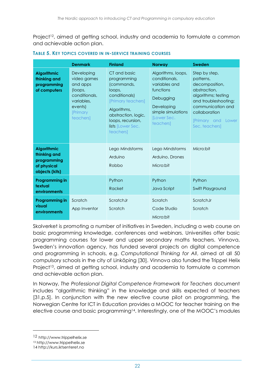Project<sup>12</sup>, aimed at getting school, industry and academia to formulate a common and achievable action plan.

|                                                                                    | <b>Denmark</b>                                                                                                      | <b>Finland</b>                                                                                                                                                                          | <b>Norway</b>                                                                                                                                  | Sweden                                                                                                                                                                                       |
|------------------------------------------------------------------------------------|---------------------------------------------------------------------------------------------------------------------|-----------------------------------------------------------------------------------------------------------------------------------------------------------------------------------------|------------------------------------------------------------------------------------------------------------------------------------------------|----------------------------------------------------------------------------------------------------------------------------------------------------------------------------------------------|
| <b>Algorithmic</b><br>thinking and<br>programming<br>of computers                  | Developing<br>video games<br>and apps<br>(loops,<br>conditionals,<br>variables,<br>events)<br>[Primary<br>teachers] | CT and basic<br>programming<br>(commands,<br>loops,<br>conditionals)<br>[Primary teachers]<br>Algorithms,<br>abstraction, logic,<br>loops, recursion,<br>lists [Lower Sec.<br>teachers] | Algorithms, loops,<br>conditionals,<br>variables and<br>functions<br>Debugging<br>Developing<br>simple simulations<br>[Lower Sec.<br>teachers] | Step by step,<br>patterns,<br>decomposition,<br>abstraction,<br>algorithms; testing<br>and troubleshooting;<br>communication and<br>collaboration<br>[Primary and<br>Lower<br>Sec. teachers] |
| <b>Algorithmic</b><br>thinking and<br>programming<br>of physical<br>objects (kits) |                                                                                                                     | Lego Mindstorms<br>Arduino<br>Robbo                                                                                                                                                     | Lego Mindstorms<br>Arduino, Drones<br>Micro:bit                                                                                                | Micro:bit                                                                                                                                                                                    |
| Programming in<br>textual<br>environments                                          |                                                                                                                     | Python<br>Racket                                                                                                                                                                        | Python<br>Java Script                                                                                                                          | Python<br>Swift Playground                                                                                                                                                                   |
| Programming in<br>visual<br>environments                                           | Scratch<br>App Inventor                                                                                             | ScratchJr<br>Scratch                                                                                                                                                                    | Scratch<br>Code Studio<br>Micro:bit                                                                                                            | ScratchJr<br>Scratch                                                                                                                                                                         |

#### <span id="page-29-0"></span>**TABLE 5. KEY TOPICS COVERED IN IN-SERVICE TRAINING COURSES**

Skolverket is promoting a number of initiatives in Sweden, including a web course on basic programming knowledge, conferences and webinars. Universities offer basic programming courses for lower and upper secondary maths teachers. Vinnova, Sweden's innovation agency, has funded several projects on digital competence and programming in schools, e.g. *Computational Thinking for All*, aimed at all 50 compulsory schools in the city of Linköping [\[30\]](#page-36-0). Vinnova also funded the Trippel Helix Project<sup>13</sup>, aimed at getting school, industry and academia to formulate a common and achievable action plan.

In Norway, *The Professional Digital Competence Framework for Teachers* document includes "algorithmic thinking" in the knowledge and skills expected of teachers [\[31,](#page-36-1)p.5]. In conjunction with the new elective course pilot on programming, the Norwegian Centre for ICT in Education provides a MOOC for teacher training on the elective course and basic programming<sup>14</sup>. Interestingly, one of the MOOC's modules

-

<sup>12</sup> http://www.trippelhelix.se

<sup>13</sup> http://www.trippelhelix.se

<sup>14</sup> http://kurs.iktsenteret.no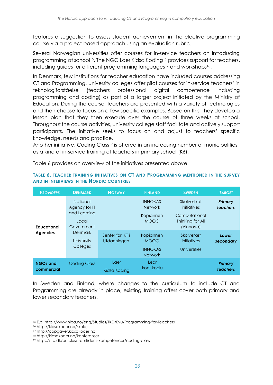features a suggestion to assess student achievement in the elective programming course via a project-based approach using an evaluation rubric.

Several Norwegian universities offer courses for in-service teachers on introducing programming at school15. The NGO Laer Kidsa Koding<sup>16</sup> provides support for teachers, including guides for different programming languages<sup>17</sup> and workshops<sup>18</sup>.

In Denmark, few institutions for teacher education have included courses addressing CT and Programming. University colleges offer pilot courses for in-service teachers' in teknologiforståelse (teachers professional digital competence including programming and coding) as part of a larger project initiated by the Ministry of Education. During the course, teachers are presented with a variety of technologies and then choose to focus on a few specific examples. Based on this, they develop a lesson plan that they then execute over the course of three weeks at school. Throughout the course activities, university college staff facilitate and actively support participants. The initiative seeks to focus on and adjust to teachers' specific knowledge, needs and practice.

Another initiative, Coding Class<sup>19</sup> is offered in an increasing number of municipalities as a kind of in-service training of teachers in primary school (K6).

**TABLE 6. TEACHER TRAINING INITIATIVES ON CT AND PROGRAMMING MENTIONED IN THE SURVEY** 

| <b>PROVIDERS</b>              | <b>DENMARK</b>                                                          | <b>NORWAY</b>                   | <b>FINLAND</b>                                               | <b>SWEDEN</b>                                                                | <b>TARGET</b>       |
|-------------------------------|-------------------------------------------------------------------------|---------------------------------|--------------------------------------------------------------|------------------------------------------------------------------------------|---------------------|
| <b>Educational</b>            | <b>National</b><br>Agency for IT<br>and Learning<br>Local<br>Government |                                 | <b>INNOKAS</b><br><b>Network</b><br>Kopiannen<br><b>MOOC</b> | Skolvertket<br>initiatives<br>Computational<br>Thinking for All<br>(Vinnova) | Primary<br>teachers |
| <b>Agencies</b>               | Denmark<br>University<br>Colleges                                       | Senter for IKT i<br>Utdanningen | Kopiannen<br><b>MOOC</b><br><b>INNOKAS</b><br><b>Network</b> | Skolverket<br>initiatives<br>Universities                                    | Lower<br>secondary  |
| <b>NGOs and</b><br>commercial | <b>Coding Class</b>                                                     | Laer<br>Kidsa Kodina            | Lear<br>kodi-koolu                                           |                                                                              | Primary<br>teachers |

Table 6 provides an overview of the initiatives presented above.

**AND IN INTERVIEWS IN THE NORDIC COUNTRIES**

In Sweden and Finland, where changes to the curriculum to include CT and Programming are already in place, existing training offers cover both primary and lower secondary teachers.

 $\overline{a}$ 

<sup>15</sup> E.g.<http://www.hioa.no/eng/Studies/TKD/Evu/Programming-for-Teachers>

<sup>16</sup> http://kidsakoder.no/skole)

<sup>17</sup> http://oppgaver.kidsakoder.no

<sup>18</sup> http://kidsakoder.no/konferanser

<sup>19</sup> <https://itb.dk/articles/fremtidens-kompetencer/coding-class>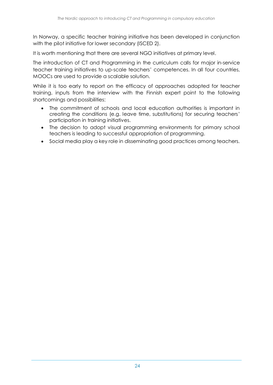In Norway, a specific teacher training initiative has been developed in conjunction with the pilot initiative for lower secondary (ISCED 2).

It is worth mentioning that there are several NGO initiatives at primary level.

The introduction of CT and Programming in the curriculum calls for major in-service teacher training initiatives to up-scale teachers' competences. In all four countries, MOOCs are used to provide a scalable solution.

While it is too early to report on the efficacy of approaches adopted for teacher training, inputs from the interview with the Finnish expert point to the following shortcomings and possibilities:

- The commitment of schools and local education authorities is important in creating the conditions (e.g. leave time, substitutions) for securing teachers' participation in training initiatives.
- The decision to adopt visual programming environments for primary school teachers is leading to successful appropriation of programming.
- Social media play a key role in disseminating good practices among teachers.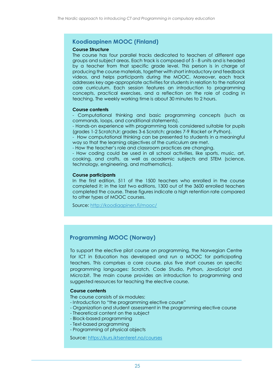### **Koodiaapinen MOOC (Finland)**

#### **Course Structure**

The course has four parallel tracks dedicated to teachers of different age groups and subject areas. Each track is composed of 5 - 8 units and is headed by a teacher from that specific grade level. This person is in charge of producing the course materials, together with short introductory and feedback videos, and helps participants during the MOOC. Moreover, each track addresses key age-appropriate activities for students in relation to the national core curriculum. Each session features an introduction to programming concepts, practical exercises, and a reflection on the role of coding in teaching. The weekly working time is about 30 minutes to 2 hours.

#### **Course contents**

- Computational thinking and basic programming concepts (such as commands, loops, and conditional statements).

- Hands-on experience with programming tools considered suitable for pupils (grades 1-2 ScratchJr; grades 3-6 Scratch; grades 7-9 Racket or Python).

- How computational thinking can be presented to students in a meaningful way so that the learning objectives of the curriculum are met.

- How the teacher's role and classroom practices are changing.

- How coding could be used in all school activities, like sports, music, art, cooking, and crafts, as well as academic subjects and STEM (science, technology, engineering, and mathematics).

#### **Course participants**

In the first edition, 511 of the 1500 teachers who enrolled in the course completed it; in the last two editions, 1300 out of the 3600 enrolled teachers completed the course. These figures indicate a high retention rate compared to other types of MOOC courses.

Source:<http://koodiaapinen.fi/mooc/>

### **Programming MOOC (Norway)**

To support the elective pilot course on programming, the Norwegian Centre for ICT in Education has developed and run a MOOC for participating teachers. This comprises a core course, plus five short courses on specific programming languages: Scratch, Code Studio, Python, JavaScript and Micro:bit. The main course provides an introduction to programming and suggested resources for teaching the elective course.

#### **Course contents**

The course consists of six modules:

- Introduction to "the programming elective course"
- Organization and student assessment in the programming elective course
- Theoretical content on the subject
- Block-based programming
- Text-based programming
- Programming of physical objects

Source:<https://kurs.iktsenteret.no/courses>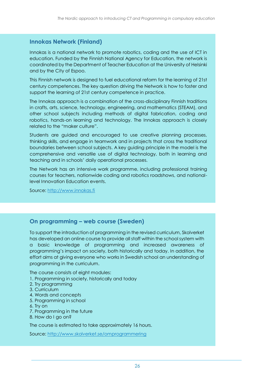### **Innokas Network (Finland)**

Innokas is a national network to promote robotics, coding and the use of ICT in education. Funded by the Finnish National Agency for Education, the network is coordinated by the Department of Teacher Education at the University of Helsinki and by the City of Espoo.

This Finnish network is designed to fuel educational reform for the learning of 21st century competences. The key question driving the Network is how to foster and support the learning of 21st century competence in practice.

The Innokas approach is a combination of the cross-disciplinary Finnish traditions in crafts, arts, science, technology, engineering, and mathematics (STEAM), and other school subjects including methods of digital fabrication, coding and robotics, hands-on learning and technology. The Innokas approach is closely related to the "maker culture".

Students are guided and encouraged to use creative planning processes, thinking skills, and engage in teamwork and in projects that cross the traditional boundaries between school subjects. A key guiding principle in the model is the comprehensive and versatile use of digital technology, both in learning and teaching and in schools' daily operational processes.

The Network has an intensive work programme, including professional training courses for teachers, nationwide coding and robotics roadshows, and nationallevel Innovation Education events.

Source: [http://www.innokas.fi](http://www.innokas.fi/) 

### **On programming – web course (Sweden)**

To support the introduction of programming in the revised curriculum, Skolverket has developed an online course to provide all staff within the school system with a basic knowledge of programming and increased awareness of programming's impact on society, both historically and today. In addition, the effort aims at giving everyone who works in Swedish school an understanding of programming in the curriculum.

The course consists of eight modules:

- 1. Programming in society, historically and today
- 2. Try programming
- 3. Curriculum
- 4. Words and concepts
- 5. Programming in school
- 6. Try on
- 7. Programming in the future
- 8. How do I go on?

The course is estimated to take approximately 16 hours.

Source:<http://www.skolverket.se/omprogrammering>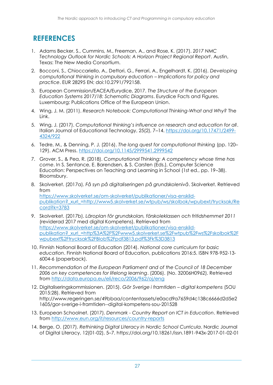# <span id="page-34-0"></span>**REFERENCES**

- <span id="page-34-1"></span>1. Adams Becker, S., Cummins, M., Freeman, A., and Rose, K. (2017). *2017 NMC Technology Outlook for Nordic Schools: A Horizon Project Regional Report*. Austin, Texas: The New Media Consortium.
- <span id="page-34-2"></span>2. Bocconi, S., Chioccariello, A., Dettori, G., Ferrari, A., Engelhardt, K. (2016). *Developing computational thinking in compulsory education – Implications for policy and practice*. EUR 28295 EN; doi:10.2791/792158.
- <span id="page-34-3"></span>3. European Commission/EACEA/Eurydice, 2017. *The Structure of the European Education Systems 2017/18: Schematic Diagrams*. Eurydice Facts and Figures. Luxembourg: Publications Office of the European Union.
- <span id="page-34-4"></span>4. Wing, J. M. (2011). *Research Notebook: Computational Thinking-What and Why?* The Link.
- <span id="page-34-5"></span>5. Wing, J. (2017). *Computational thinking's influence on research and education for all*. Italian Journal of Educational Technology, 25(2), 7–14. [https://doi.org/10.17471/2499-](https://doi.org/10.17471/2499-4324/922) [4324/922](https://doi.org/10.17471/2499-4324/922)
- <span id="page-34-6"></span>6. Tedre, M., & Denning, P. J. (2016). *The long quest for computational thinking* (pp. 120– 129). ACM Press.<https://doi.org/10.1145/2999541.2999542>
- <span id="page-34-7"></span>7. Grover, S., & Pea, R. (2018). *Computational Thinking: A competency whose time has come*. In S. Sentance, E. Barendsen, & S. Carsten (Eds.), Computer Science Education: Perspectives on Teaching and Learning in School (1st ed., pp. 19–38). Bloomsbury.
- <span id="page-34-8"></span>8. Skolverket. (2017a). *Få syn på digitaliseringen på grundskolenivå*. Skolverket. Retrieved from [https://www.skolverket.se/om-skolverket/publikationer/visa-enskild](https://www.skolverket.se/om-skolverket/publikationer/visa-enskild-publikation?_xurl_=http://www5.skolverket.se/wtpub/ws/skolbok/wpubext/trycksak/Record?k=3783)[publikation?\\_xurl\\_=http://www5.skolverket.se/wtpub/ws/skolbok/wpubext/trycksak/Re](https://www.skolverket.se/om-skolverket/publikationer/visa-enskild-publikation?_xurl_=http://www5.skolverket.se/wtpub/ws/skolbok/wpubext/trycksak/Record?k=3783) [cord?k=3783](https://www.skolverket.se/om-skolverket/publikationer/visa-enskild-publikation?_xurl_=http://www5.skolverket.se/wtpub/ws/skolbok/wpubext/trycksak/Record?k=3783)
- <span id="page-34-9"></span>9. Skolverket. (2017b). *Läroplan för grundskolan, förskoleklassen och fritidshemmet 2011* (reviderad 2017 med digital Kompetens). Retrieved from [https://www.skolverket.se/om-skolverket/publikationer/visa-enskild](https://www.skolverket.se/om-skolverket/publikationer/visa-enskild-publikation?_xurl_=http%3A%2F%2Fwww5.skolverket.se%2Fwtpub%2Fws%2Fskolbok%2Fwpubext%2Ftrycksak%2FBlob%2Fpdf3813.pdf%3Fk%3D3813)[publikation?\\_xurl\\_=http%3A%2F%2Fwww5.skolverket.se%2Fwtpub%2Fws%2Fskolbok%2F](https://www.skolverket.se/om-skolverket/publikationer/visa-enskild-publikation?_xurl_=http%3A%2F%2Fwww5.skolverket.se%2Fwtpub%2Fws%2Fskolbok%2Fwpubext%2Ftrycksak%2FBlob%2Fpdf3813.pdf%3Fk%3D3813) [wpubext%2Ftrycksak%2FBlob%2Fpdf3813.pdf%3Fk%3D3813](https://www.skolverket.se/om-skolverket/publikationer/visa-enskild-publikation?_xurl_=http%3A%2F%2Fwww5.skolverket.se%2Fwtpub%2Fws%2Fskolbok%2Fwpubext%2Ftrycksak%2FBlob%2Fpdf3813.pdf%3Fk%3D3813)
- <span id="page-34-10"></span>10. Finnish National Board of Education (2014). *National core curriculum for basic education*. Finnish National Board of Education, publications 2016:5. ISBN 978-952-13- 6004-6 (paperback).
- <span id="page-34-11"></span>11. *Recommendation of the European Parliament and of the Council of 18 December 2006 on key competences for lifelong learning*. (2006). (No. 32006H0962). Retrieved from<http://data.europa.eu/eli/reco/2006/962/oj/eng>
- <span id="page-34-12"></span>12. Digitaliseringskommissionen. (2015). *Gör Sverige i framtiden – digital kompetens* (SOU 2015:28). Retrieved from http://www.regeringen.se/49bbaa/contentassets/e0acd9a7659d4c138c6666d2d5e2 1605/gor-sverige-i-framtiden--digital-kompetens-sou-201528
- <span id="page-34-13"></span>13. European Schoolnet. (2017). *Denmark - Country Report on ICT in Education*. Retrieved from<http://www.eun.org/it/resources/country-reports>
- <span id="page-34-14"></span>14. Berge, O. (2017). *Rethinking Digital Literacy in Nordic School Curricula*. Nordic Journal of Digital Literacy, 12(01-02), 5–7. https://doi.org/10.18261/issn.1891-943x-2017-01-02-01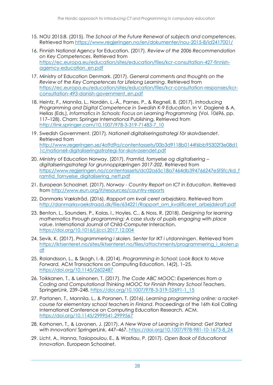- <span id="page-35-0"></span>15. NOU 2015:8. (2015). *The School of the Future Renewal of subjects and competences*. Retrieved from<https://www.regjeringen.no/en/dokumenter/nou-2015-8/id2417001/>
- <span id="page-35-1"></span>16. Finnish National Agency for Education. (2017). *Review of the 2006 Recommendation on Key Competences*. Retrieved from [https://ec.europa.eu/education/sites/education/files/kcr-consultation-427-finnish](https://ec.europa.eu/education/sites/education/files/kcr-consultation-427-finnish-agerncy-education_en.pdf)[agerncy-education\\_en.pdf](https://ec.europa.eu/education/sites/education/files/kcr-consultation-427-finnish-agerncy-education_en.pdf)
- <span id="page-35-2"></span>17. Ministry of Education Denmark. (2017). *General comments and thoughts on the Review of the Key Competences for Lifelong Learning*. Retrieved from [https://ec.europa.eu/education/sites/education/files/kcr-consultation-responses/kcr](https://ec.europa.eu/education/sites/education/files/kcr-consultation-responses/kcr-consultation-493-danish-government_en.pdf)[consultation-493-danish-government\\_en.pdf](https://ec.europa.eu/education/sites/education/files/kcr-consultation-responses/kcr-consultation-493-danish-government_en.pdf)
- <span id="page-35-3"></span>18. Heintz, F., Mannila, L., Nordén, L.-Å., Parnes, P., & Regnell, B. (2017). *Introducing Programming and Digital Competence in Swedish K-9 Education*. In V. Dagienė & A. Hellas (Eds.), *Informatics in Schools: Focus on Learning Programming* (Vol. 10696, pp. 117–128). Cham: Springer International Publishing. Retrieved from [http://link.springer.com/10.1007/978-3-319-71483-7\\_10](http://link.springer.com/10.1007/978-3-319-71483-7_10)
- <span id="page-35-4"></span>19. Swedish Government. (2017). *Nationell digitaliseringsstrategi för skolväsendet*. Retrieved from [http://www.regeringen.se/4a9d9a/contentassets/00b3d9118b0144f6bb95302f3e08d1](http://www.regeringen.se/4a9d9a/contentassets/00b3d9118b0144f6bb95302f3e08d11c/nationell-digitaliseringsstrategi-for-skolvasendet.pdf) [1c/nationell-digitaliseringsstrategi-for-skolvasendet.pdf](http://www.regeringen.se/4a9d9a/contentassets/00b3d9118b0144f6bb95302f3e08d11c/nationell-digitaliseringsstrategi-for-skolvasendet.pdf)
- <span id="page-35-5"></span>20. Ministry of Education Norway. (2017). *Framtid, fornyelse og digitalisering – digitaliseringsstrategi for grunnopplæringen 2017-202*. Retrieved from [https://www.regjeringen.no/contentassets/dc02a65c18a7464db394766247e5f5fc/kd\\_f](https://www.regjeringen.no/contentassets/dc02a65c18a7464db394766247e5f5fc/kd_framtid_fornyelse_digitalisering_nett.pdf) [ramtid\\_fornyelse\\_digitalisering\\_nett.pdf](https://www.regjeringen.no/contentassets/dc02a65c18a7464db394766247e5f5fc/kd_framtid_fornyelse_digitalisering_nett.pdf)
- <span id="page-35-6"></span>21. European Schoolnet. (2017). *Norway - Country Report on ICT in Education*. Retrieved from<http://www.eun.org/it/resources/country-reports>
- <span id="page-35-7"></span>22. Danmarks Vækstråd. (2016). *Rapport om kvali ceret arbejdskra*. Retrieved from [http://danmarksvaekstraad.dk/file/634221/Rapport\\_om\\_kvalificeret\\_arbejdskraft.pdf](http://danmarksvaekstraad.dk/file/634221/Rapport_om_kvalificeret_arbejdskraft.pdf)
- <span id="page-35-8"></span>23. Benton, L., Saunders, P., Kalas, I., Hoyles, C., & Noss, R. (2018). *Designing for learning mathematics through programming: A case study of pupils engaging with place value*. International Journal of Child-Computer Interaction. <https://doi.org/10.1016/j.ijcci.2017.12.004>
- <span id="page-35-9"></span>24. Sevik, K. (2017). *Programmering i skolen. Senter for IKT i utdanningen*. Retrieved from [https://iktsenteret.no/sites/iktsenteret.no/files/attachments/programmering\\_i\\_skolen.p](https://iktsenteret.no/sites/iktsenteret.no/files/attachments/programmering_i_skolen.pdf) [df](https://iktsenteret.no/sites/iktsenteret.no/files/attachments/programmering_i_skolen.pdf)
- 25. Rolandsson, L., & Skogh, I.-B. (2014). *Programming in School: Look Back to Move Forward.* ACM Transactions on Computing Education, 14(2), 1–25. <https://doi.org/10.1145/2602487>
- <span id="page-35-10"></span>26. Toikkanen, T., & Leinonen, T. (2017). *The Code ABC MOOC: Experiences from a Coding and Computational Thinking MOOC for Finnish Primary School Teachers*. SpringerLink, 239–248. [https://doi.org/10.1007/978-3-319-52691-1\\_15](https://doi.org/10.1007/978-3-319-52691-1_15)
- <span id="page-35-11"></span>27. Partanen, T., Mannila, L., & Poranen, T. (2016). *Learning programming online: a racketcourse for elementary school teachers in Finland*. Proceedings of the 16th Koli Calling International Conference on Computing Education Research, ACM. <https://doi.org/10.1145/2999541.2999567>
- <span id="page-35-12"></span>28. Korhonen, T., & Lavonen, J. (2017). *A New Wave of Learning in Finland: Get Started with Innovation!* SpringerLink, 447–467. [https://doi.org/10.1007/978-981-10-1673-8\\_24](https://doi.org/10.1007/978-981-10-1673-8_24)
- <span id="page-35-13"></span>29. Licht, A., Hanna, Tasiopoulou, E., & Wastiau, P. (2017). *Open Book of Educational Innovation*. European Schoolnet.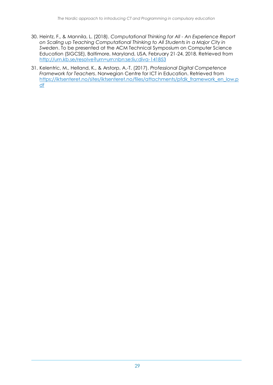- <span id="page-36-0"></span>30. Heintz, F., & Mannila, L. (2018). *Computational Thinking for All - An Experience Report on Scaling up Teaching Computational Thinking to All Students in a Major City in Sweden*. To be presented at the ACM Technical Symposium on Computer Science Education (SIGCSE), Baltimore, Maryland, USA, February 21-24, 2018. Retrieved from <http://urn.kb.se/resolve?urn=urn:nbn:se:liu:diva-141853>
- <span id="page-36-1"></span>31. Kelentric, M., Helland, K., & Arstorp, A.-T. (2017). *Professional Digital Competence Framework for Teachers*. Norwegian Centre for ICT in Education. Retrieved from [https://iktsenteret.no/sites/iktsenteret.no/files/attachments/pfdk\\_framework\\_en\\_low.p](https://iktsenteret.no/sites/iktsenteret.no/files/attachments/pfdk_framework_en_low.pdf) [df](https://iktsenteret.no/sites/iktsenteret.no/files/attachments/pfdk_framework_en_low.pdf)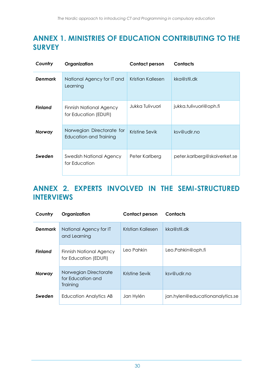# <span id="page-37-0"></span>**ANNEX 1. MINISTRIES OF EDUCATION CONTRIBUTING TO THE SURVEY**

| Country        | Organization                                        | <b>Contact person</b> | <b>Contacts</b>              |
|----------------|-----------------------------------------------------|-----------------------|------------------------------|
| <b>Denmark</b> | National Agency for IT and<br>Learning              | Kristian Kallesen     | kka@stil.dk                  |
| <b>Finland</b> | Finnish National Agency<br>for Education (EDUFI)    | Jukka Tulivuori       | jukka.tulivuori@oph.fi       |
| Norway         | Norwegian Directorate for<br>Education and Training | Kristine Sevik        | ksv@udir.no                  |
| Sweden         | Swedish National Agency<br>for Education            | Peter Karlberg        | peter.karlberg@skolverket.se |

# <span id="page-37-1"></span>**ANNEX 2. EXPERTS INVOLVED IN THE SEMI-STRUCTURED INTERVIEWS**

| Country        | Organization                                            | <b>Contact person</b> | <b>Contacts</b>                 |
|----------------|---------------------------------------------------------|-----------------------|---------------------------------|
| <b>Denmark</b> | National Agency for IT<br>and Learning                  | Kristian Kallesen     | kka@stil.dk                     |
| <b>Finland</b> | <b>Finnish National Agency</b><br>for Education (EDUFI) | Leo Pahkin            | Leo.Pahkin@oph.fi               |
| Norway         | Norwegian Directorate<br>for Education and<br>Training  | Kristine Sevik        | ksv@udir.no                     |
| Sweden         | Education Analytics AB                                  | Jan Hylén             | jan.hylen@educationanalytics.se |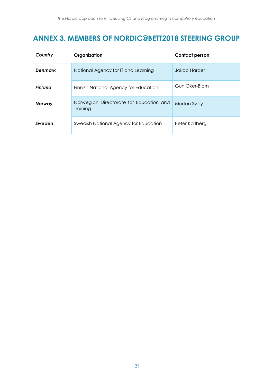# <span id="page-38-0"></span>**ANNEX 3. MEMBERS OF NORDIC@BETT2018 STEERING GROUP**

| Country        | Organization                                        | <b>Contact person</b> |
|----------------|-----------------------------------------------------|-----------------------|
| <b>Denmark</b> | National Agency for IT and Learning                 | <b>Jakob Harder</b>   |
| <b>Finland</b> | Finnish National Agency for Education               | Gun Oker-Blom         |
| <b>Norway</b>  | Norwegian Directorate for Education and<br>Training | Morten Søby           |
| Sweden         | Swedish National Agency for Education               | Peter Karlberg        |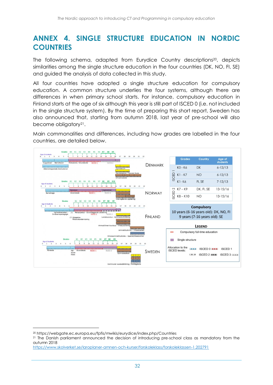# <span id="page-39-0"></span>**ANNEX 4. SINGLE STRUCTURE EDUCATION IN NORDIC COUNTRIES**

The following schema, adapted from Eurydice Country descriptions 20 , depicts similarities among the single structure education in the four countries (DK, NO, FI, SE) and guided the analysis of data collected in this study.

All four countries have adopted a single structure education for compulsory education. A common structure underlies the four systems, although there are differences in when primary school starts. For instance, compulsory education in Finland starts at the age of six although this year is still part of ISCED 0 (i.e. not included in the single structure system). By the time of preparing this short report, Sweden has also announced that, starting from autumn 2018, last year of pre-school will also become obligatory<sup>21</sup>.

Main commonalities and differences, including how grades are labelled in the four countries, are detailed below.



-

<sup>20</sup> https://webgate.ec.europa.eu/fpfis/mwikis/eurydice/index.php/Countries

<sup>&</sup>lt;sup>21</sup> The Danish parliament announced the decision of introducing pre-school class as mandatory from the autumn 2018

<https://www.skolverket.se/laroplaner-amnen-och-kurser/forskoleklass/forskoleklassen-1.202791>